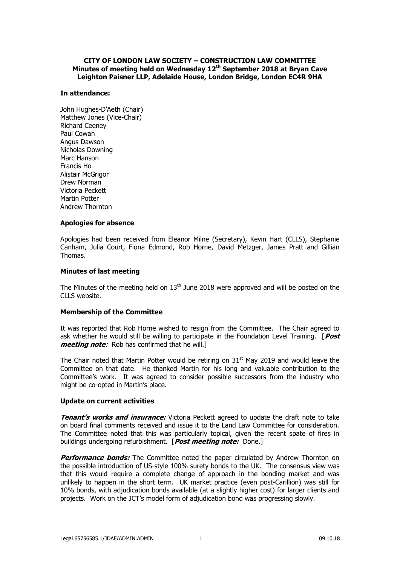# **CITY OF LONDON LAW SOCIETY – CONSTRUCTION LAW COMMITTEE Minutes of meeting held on Wednesday 12th September 2018 at Bryan Cave Leighton Paisner LLP, Adelaide House, London Bridge, London EC4R 9HA**

# **In attendance:**

John Hughes-D'Aeth (Chair) Matthew Jones (Vice-Chair) Richard Ceeney Paul Cowan Angus Dawson Nicholas Downing Marc Hanson Francis Ho Alistair McGrigor Drew Norman Victoria Peckett Martin Potter Andrew Thornton

# **Apologies for absence**

Apologies had been received from Eleanor Milne (Secretary), Kevin Hart (CLLS), Stephanie Canham, Julia Court, Fiona Edmond, Rob Horne, David Metzger, James Pratt and Gillian Thomas.

# **Minutes of last meeting**

The Minutes of the meeting held on  $13<sup>th</sup>$  June 2018 were approved and will be posted on the CLLS website.

# **Membership of the Committee**

It was reported that Rob Horne wished to resign from the Committee. The Chair agreed to ask whether he would still be willing to participate in the Foundation Level Training. [**Post meeting note**: Rob has confirmed that he will.]

The Chair noted that Martin Potter would be retiring on  $31<sup>st</sup>$  May 2019 and would leave the Committee on that date. He thanked Martin for his long and valuable contribution to the Committee's work. It was agreed to consider possible successors from the industry who might be co-opted in Martin's place.

### **Update on current activities**

**Tenant's works and** *insurance*: Victoria Peckett agreed to update the draft note to take on board final comments received and issue it to the Land Law Committee for consideration. The Committee noted that this was particularly topical, given the recent spate of fires in buildings undergoing refurbishment. [**Post meeting note:** Done.]

**Performance bonds:** The Committee noted the paper circulated by Andrew Thornton on the possible introduction of US-style 100% surety bonds to the UK. The consensus view was that this would require a complete change of approach in the bonding market and was unlikely to happen in the short term. UK market practice (even post-Carillion) was still for 10% bonds, with adjudication bonds available (at a slightly higher cost) for larger clients and projects. Work on the JCT's model form of adjudication bond was progressing slowly.